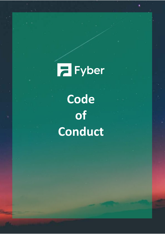**Fall** Fyber **Code of Conduct**

**Code of Conduct**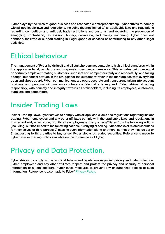**Fyber plays by the rules of good business and respectable entrepreneurship. Fyber strives to comply with all applicable laws and regulations, including (but not limited to) all applicable laws and regulations regarding competition and antitrust; trade restrictions and customs; and regarding the prevention of smuggling, contraband, tax evasion, bribery, corruption, and money laundering. Fyber does not condone, facilitate or support trading in illegal goods or services or contributing to any other illegal activities.**

## **Ethical behaviour**

**The management of Fyber holds itself and all stakeholders accountable to high ethical standards within the applicable legal, regulatory and corporate governance framework. This includes being an equal opportunity employer; treating customers, suppliers and competitors fairly and respectfully; and taking a tough, but honest attitude in the struggle for the customers' favor in the marketplace with everything open and above board. Fyber' communications are open, accurate and transparent, taking into account business and personal circumstances where confidentiality is required. Fyber strives at acting responsibly, with honesty and integrity towards all stakeholders, including its employees, customers, suppliers and competitors.**

## **Insider Trading Laws**

**Insider Trading Laws. Fyber strives to comply with all applicable laws and regulations regarding insider trading. Fyber' employees and any other affiliates comply with the applicable laws and regulations in this regard and, in particular, prohibits its employees and any other affiliates from the following actions (including, but not limited to the following actions): 1) buying or selling Fyber stocks or related securities for themselves or third parties; 2) passing such information along to others, so that they may do so; or 3) suggesting to third parties to buy or sell Fyber stocks or related securities. Reference is made to Fyber' Insider Trading Policy available on the intranet site of Fyber.**

#### **Privacy and Data Protection.**

**Fyber strives to comply with all applicable laws and regulations regarding privacy and data protection. Fyber' employees and any other affiliates respect and protect the privacy and security of personal information of all stakeholders. Fyber takes measures to prevent any unauthorized access to such information. Reference is also made to Fyber'** *[Privacy Policy](https://www.fyber.com/legal/privacy-policy/)***.**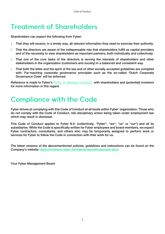## **Treatment of Shareholders**

**Shareholders can expect the following from Fyber:**

- **That they will receive, in a timely way, all relevant information they need to exercise their authority.**
- **That the directors are aware of the indispensable role that shareholders fulfill as capital providers and of the necessity to view shareholders as important partners, both individually and collectively.**
- **That one of the core tasks of the directors is serving the interests of shareholders and other stakeholders in the organization (customers and society) in a balanced and consistent way.**
- **That both the letter and the spirit of the law and of other socially accepted guidelines are complied with. Far-reaching corporate governance principles such as the so-called 'Dutch Corporate Governance Code' will be enforced.**

**Reference is made to Fyber's** *[Policy on Bilateral Contacts](https://investors.fyber.com/governance#corporate-docs)* **with shareholders and (potential) investors for more information in this regard.**

# **Compliance with the Code**

**Fyber strives at complying with this Code of Conduct at all levels within Fyber' organization. Those who do not comply with the Code of Conduct, risk disciplinary action being taken under employment law which may result in dismissal.** 

**This Code of Conduct applies to Fyber N.V. (collectively, "Fyber", "we", "us" or "our") and all its subsidiaries. While the Code is specifically written for Fyber employees and board members, we expect Fyber contractors, consultants, and others who may be temporarily assigned to perform work or services for Fyber to follow the Code in connection with their work for us.**

**The latest versions of the abovementioned policies, guidelines and instructions can be found on the Company's website <https://investors.fyber.com/governance#corporate-docs>**

**Your Fyber Management Board**